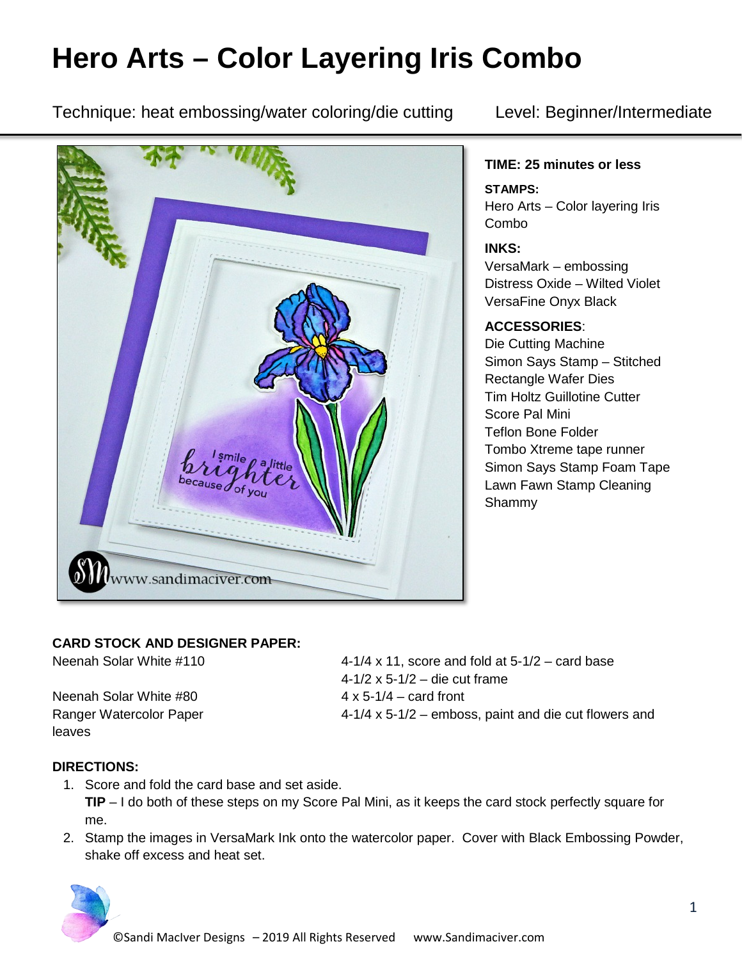# **Hero Arts – Color Layering Iris Combo**

Technique: heat embossing/water coloring/die cutting Level: Beginner/Intermediate

# www.sandimaciver.com

### **TIME: 25 minutes or less**

**STAMPS:** Hero Arts – Color layering Iris Combo

### **INKS:**

VersaMark – embossing Distress Oxide – Wilted Violet VersaFine Onyx Black

## **ACCESSORIES**:

Die Cutting Machine Simon Says Stamp – Stitched Rectangle Wafer Dies Tim Holtz Guillotine Cutter Score Pal Mini Teflon Bone Folder Tombo Xtreme tape runner Simon Says Stamp Foam Tape Lawn Fawn Stamp Cleaning Shammy

# **CARD STOCK AND DESIGNER PAPER:**

Neenah Solar White  $#80$   $4 \times 5-1/4$  – card front leaves

Neenah Solar White  $\#110$   $4-1/4 \times 11$ , score and fold at  $5-1/2$  – card base 4-1/2 x 5-1/2 – die cut frame Ranger Watercolor Paper 1980 and  $4-1/4 \times 5-1/2$  – emboss, paint and die cut flowers and

### **DIRECTIONS:**

1. Score and fold the card base and set aside.

**TIP** – I do both of these steps on my Score Pal Mini, as it keeps the card stock perfectly square for me.

2. Stamp the images in VersaMark Ink onto the watercolor paper. Cover with Black Embossing Powder, shake off excess and heat set.

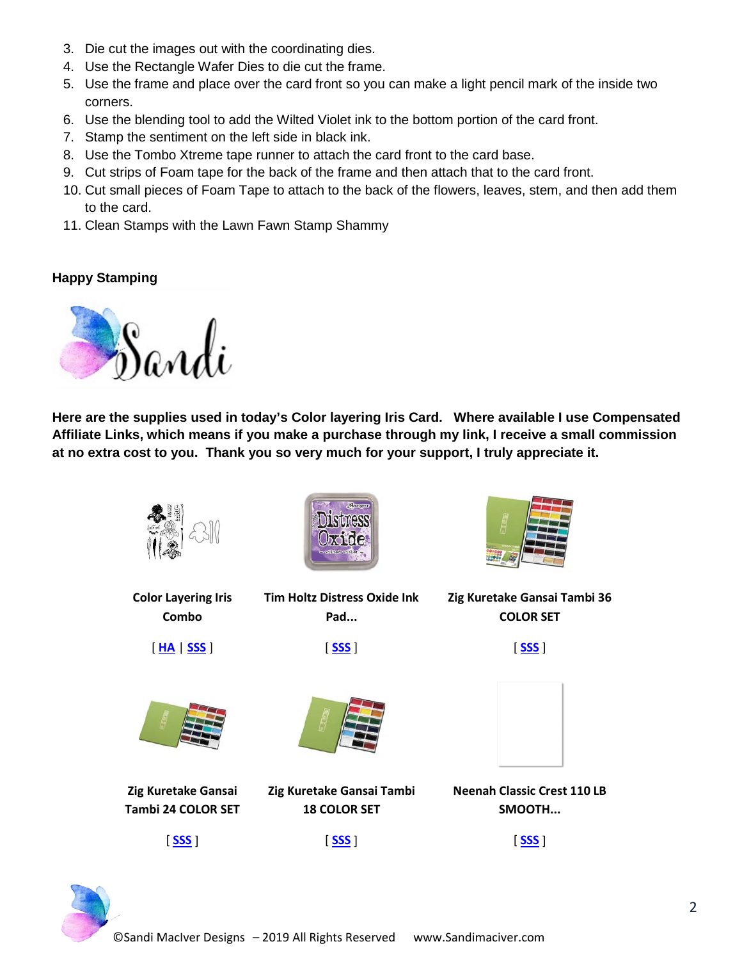- 3. Die cut the images out with the coordinating dies.
- 4. Use the Rectangle Wafer Dies to die cut the frame.
- 5. Use the frame and place over the card front so you can make a light pencil mark of the inside two corners.
- 6. Use the blending tool to add the Wilted Violet ink to the bottom portion of the card front.
- 7. Stamp the sentiment on the left side in black ink.
- 8. Use the Tombo Xtreme tape runner to attach the card front to the card base.
- 9. Cut strips of Foam tape for the back of the frame and then attach that to the card front.
- 10. Cut small pieces of Foam Tape to attach to the back of the flowers, leaves, stem, and then add them to the card.
- 11. Clean Stamps with the Lawn Fawn Stamp Shammy

### **Happy Stamping**



**Here are the supplies used in today's Color layering Iris Card. Where available I use Compensated Affiliate Links, which means if you make a purchase through my link, I receive a small commission at no extra cost to you. Thank you so very much for your support, I truly appreciate it.**



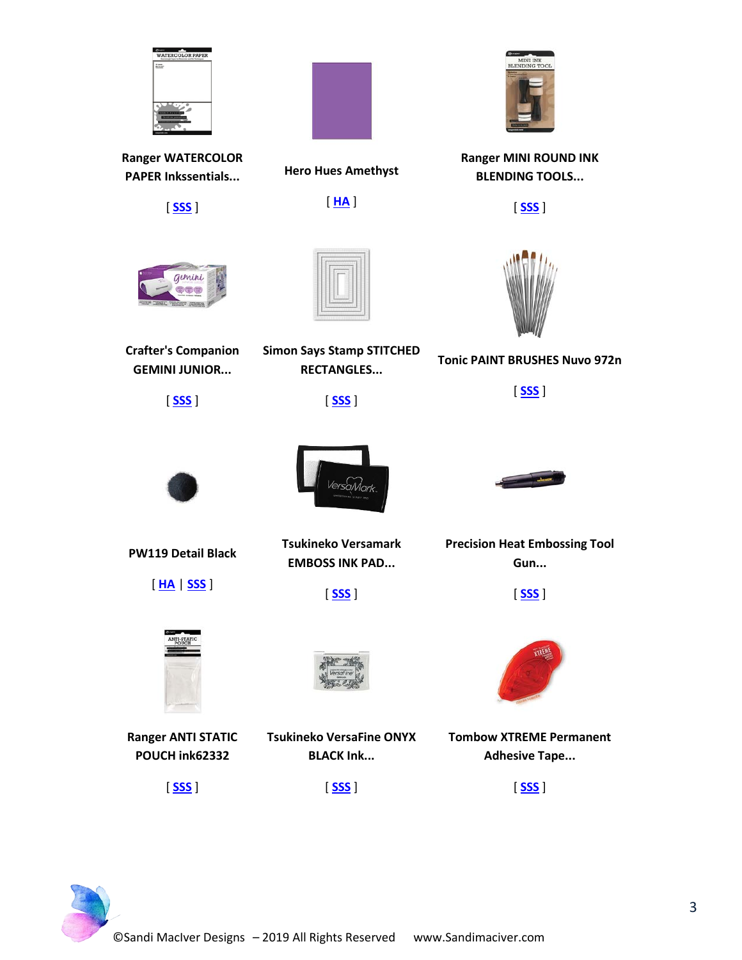

**Ranger WATERCOLOR PAPER Inkssentials...**

[ **[SSS](https://ldli.co/e/lxkoep)** ]

Gehrini



**Hero Hues Amethyst**

[ **[HA](https://ldli.co/e/xj5x7d)** ]



**Ranger MINI ROUND INK BLENDING TOOLS...**

[ **[SSS](https://ldli.co/e/1m5r17)** ]





**Crafter's Companion GEMINI JUNIOR...**

[ **[SSS](https://ldli.co/e/djox65)** ]

**Simon Says Stamp STITCHED RECTANGLES...**

[ **[SSS](https://ldli.co/e/z0ld6z)** ]

**Tonic PAINT BRUSHES Nuvo 972n**

[ **[SSS](https://ldli.co/e/9z9qg4)** ]







**PW119 Detail Black**

[ **[HA](https://ldli.co/e/kl95mm)** | **[SSS](https://ldli.co/e/71djnq)** ]

**Ranger ANTI STATIC POUCH ink62332**

[ **[SSS](https://ldli.co/e/g5xorj)** ]

**Tsukineko Versamark EMBOSS INK PAD...**

[ **[SSS](https://ldli.co/e/ndn62m)** ]

**Tsukineko VersaFine ONYX BLACK Ink...**

[ **[SSS](https://ldli.co/e/jmz6e4)** ]



**Precision Heat Embossing Tool** 



**Tombow XTREME Permanent Adhesive Tape...**

[ **[SSS](https://ldli.co/e/y05lxp)** ]

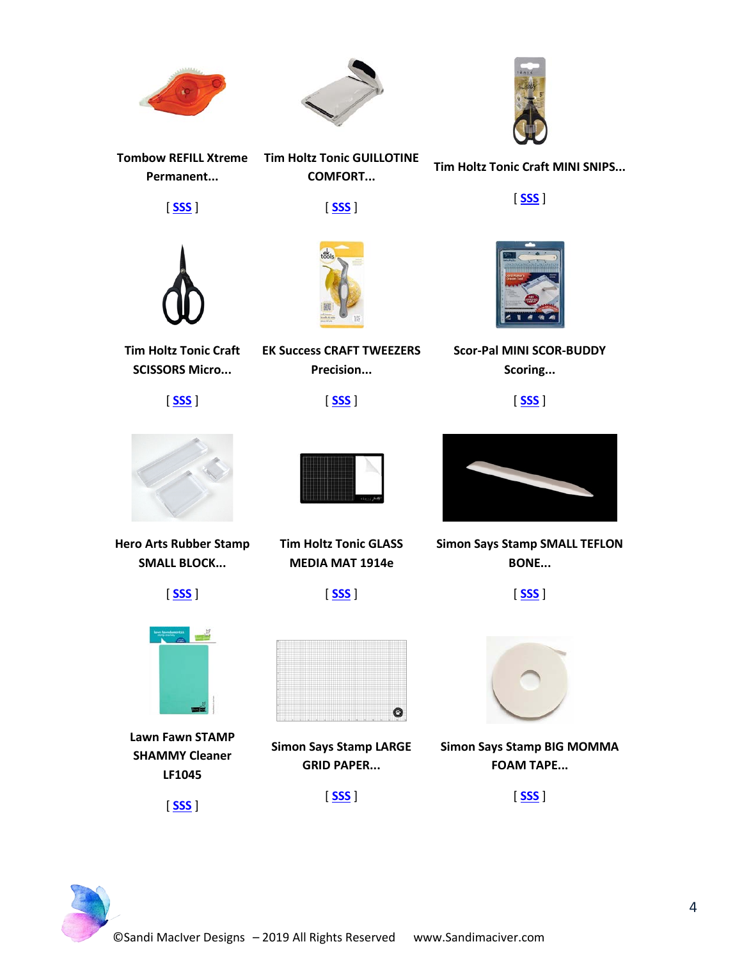





**Tim Holtz Tonic Craft MINI SNIPS...**

[ **[SSS](https://ldli.co/e/oz67ek)** ]

**Tombow REFILL Xtreme Permanent... Tim Holtz Tonic GUILLOTINE** 

[ **[SSS](https://ldli.co/e/p9y0n4)** ]

[ **[SSS](https://ldli.co/e/r7e4yl)** ]

**COMFORT...**





**Tim Holtz Tonic Craft SCISSORS Micro...**

[ **[SSS](https://ldli.co/e/lxkr0g)** ]

**EK Success CRAFT TWEEZERS Precision...**





**Scor-Pal MINI SCOR-BUDDY Scoring...**

[ **[SSS](https://ldli.co/e/1m5dn1)** ]



**Hero Arts Rubber Stamp SMALL BLOCK...**





**Tim Holtz Tonic GLASS MEDIA MAT 1914e**

[ **[SSS](https://ldli.co/e/z0lxr1)** ]



**Lawn Fawn STAMP SHAMMY Cleaner LF1045**

[ **[SSS](https://ldli.co/e/kl9nq4)** ]



**Simon Says Stamp LARGE GRID PAPER...**

[ **[SSS](https://ldli.co/e/71d563)** ]



**Simon Says Stamp SMALL TEFLON BONE...**

[ **[SSS](https://ldli.co/e/9z9mdd)** ]



**Simon Says Stamp BIG MOMMA FOAM TAPE...**

[ **[SSS](https://ldli.co/e/ndneq6)** ]